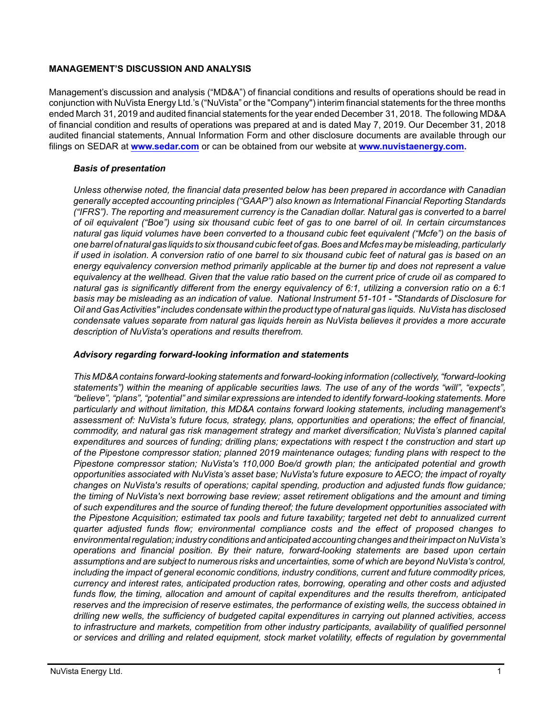## **MANAGEMENT'S DISCUSSION AND ANALYSIS**

Management's discussion and analysis ("MD&A") of financial conditions and results of operations should be read in conjunction with NuVista Energy Ltd.'s ("NuVista" or the "Company") interim financial statements for the three months ended March 31, 2019 and audited financial statements for the year ended December 31, 2018. The following MD&A of financial condition and results of operations was prepared at and is dated May 7, 2019. Our December 31, 2018 audited financial statements, Annual Information Form and other disclosure documents are available through our filings on SEDAR at **[www.sedar.com](http://www.sedar.com)** or can be obtained from our website at **[www.nuvistaenergy.com](http://www.nuvistaenergy.com).** 

# *Basis of presentation*

*Unless otherwise noted, the financial data presented below has been prepared in accordance with Canadian generally accepted accounting principles ("GAAP") also known as International Financial Reporting Standards ("IFRS"). The reporting and measurement currency is the Canadian dollar. Natural gas is converted to a barrel of oil equivalent ("Boe") using six thousand cubic feet of gas to one barrel of oil. In certain circumstances natural gas liquid volumes have been converted to a thousand cubic feet equivalent ("Mcfe") on the basis of one barrel of natural gas liquids to six thousand cubic feet of gas. Boes and Mcfes may be misleading, particularly if used in isolation. A conversion ratio of one barrel to six thousand cubic feet of natural gas is based on an energy equivalency conversion method primarily applicable at the burner tip and does not represent a value equivalency at the wellhead. Given that the value ratio based on the current price of crude oil as compared to natural gas is significantly different from the energy equivalency of 6:1, utilizing a conversion ratio on a 6:1 basis may be misleading as an indication of value. National Instrument 51-101 - "Standards of Disclosure for Oil and Gas Activities" includes condensate within the product type of natural gas liquids. NuVista has disclosed condensate values separate from natural gas liquids herein as NuVista believes it provides a more accurate description of NuVista's operations and results therefrom.* 

# *Advisory regarding forward-looking information and statements*

*This MD&A contains forward-looking statements and forward-looking information (collectively, "forward-looking statements") within the meaning of applicable securities laws. The use of any of the words "will", "expects", "believe", "plans", "potential" and similar expressions are intended to identify forward-looking statements. More particularly and without limitation, this MD&A contains forward looking statements, including management's assessment of: NuVista's future focus, strategy, plans, opportunities and operations; the effect of financial, commodity, and natural gas risk management strategy and market diversification; NuVista's planned capital expenditures and sources of funding; drilling plans; expectations with respect t the construction and start up of the Pipestone compressor station; planned 2019 maintenance outages; funding plans with respect to the Pipestone compressor station; NuVista's 110,000 Boe/d growth plan; the anticipated potential and growth opportunities associated with NuVista's asset base; NuVista's future exposure to AECO; the impact of royalty changes on NuVista's results of operations; capital spending, production and adjusted funds flow guidance; the timing of NuVista's next borrowing base review; asset retirement obligations and the amount and timing of such expenditures and the source of funding thereof; the future development opportunities associated with the Pipestone Acquisition; estimated tax pools and future taxability; targeted net debt to annualized current quarter adjusted funds flow; environmental compliance costs and the effect of proposed changes to environmental regulation; industry conditions and anticipated accounting changes and their impact on NuVista's operations and financial position. By their nature, forward-looking statements are based upon certain assumptions and are subject to numerous risks and uncertainties, some of which are beyond NuVista's control, including the impact of general economic conditions, industry conditions, current and future commodity prices, currency and interest rates, anticipated production rates, borrowing, operating and other costs and adjusted funds flow, the timing, allocation and amount of capital expenditures and the results therefrom, anticipated reserves and the imprecision of reserve estimates, the performance of existing wells, the success obtained in drilling new wells, the sufficiency of budgeted capital expenditures in carrying out planned activities, access to infrastructure and markets, competition from other industry participants, availability of qualified personnel or services and drilling and related equipment, stock market volatility, effects of regulation by governmental*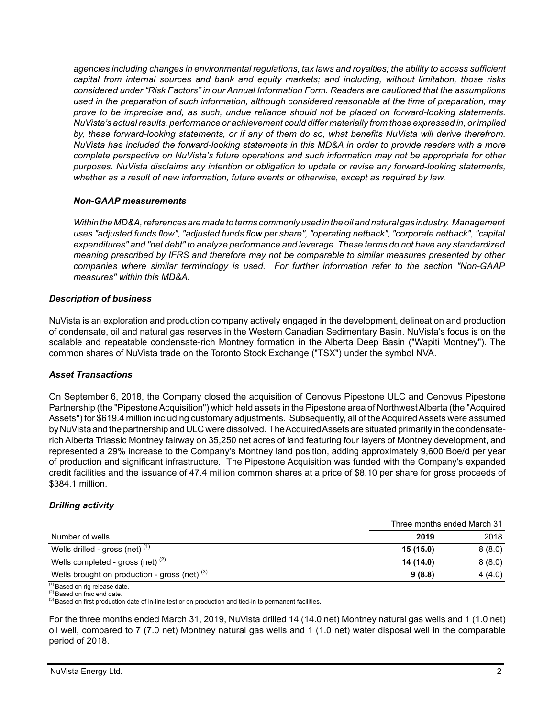*agencies including changes in environmental regulations, tax laws and royalties; the ability to access sufficient capital from internal sources and bank and equity markets; and including, without limitation, those risks considered under "Risk Factors" in our Annual Information Form. Readers are cautioned that the assumptions used in the preparation of such information, although considered reasonable at the time of preparation, may prove to be imprecise and, as such, undue reliance should not be placed on forward-looking statements. NuVista's actual results, performance or achievement could differ materially from those expressed in, or implied by, these forward-looking statements, or if any of them do so, what benefits NuVista will derive therefrom. NuVista has included the forward-looking statements in this MD&A in order to provide readers with a more complete perspective on NuVista's future operations and such information may not be appropriate for other purposes. NuVista disclaims any intention or obligation to update or revise any forward-looking statements, whether as a result of new information, future events or otherwise, except as required by law.*

#### *Non-GAAP measurements*

*Within the MD&A, references are made to terms commonly used in the oil and natural gas industry. Management uses "adjusted funds flow", "adjusted funds flow per share", "operating netback", "corporate netback", "capital expenditures" and "net debt" to analyze performance and leverage. These terms do not have any standardized meaning prescribed by IFRS and therefore may not be comparable to similar measures presented by other companies where similar terminology is used. For further information refer to the section "Non-GAAP measures" within this MD&A.* 

#### *Description of business*

NuVista is an exploration and production company actively engaged in the development, delineation and production of condensate, oil and natural gas reserves in the Western Canadian Sedimentary Basin. NuVista's focus is on the scalable and repeatable condensate-rich Montney formation in the Alberta Deep Basin ("Wapiti Montney"). The common shares of NuVista trade on the Toronto Stock Exchange ("TSX") under the symbol NVA.

## *Asset Transactions*

On September 6, 2018, the Company closed the acquisition of Cenovus Pipestone ULC and Cenovus Pipestone Partnership (the "Pipestone Acquisition") which held assets in the Pipestone area of Northwest Alberta (the "Acquired Assets") for \$619.4 million including customary adjustments. Subsequently, all of the Acquired Assets were assumed by NuVista and the partnership and ULC were dissolved. The Acquired Assets are situated primarily in the condensaterich Alberta Triassic Montney fairway on 35,250 net acres of land featuring four layers of Montney development, and represented a 29% increase to the Company's Montney land position, adding approximately 9,600 Boe/d per year of production and significant infrastructure. The Pipestone Acquisition was funded with the Company's expanded credit facilities and the issuance of 47.4 million common shares at a price of \$8.10 per share for gross proceeds of \$384.1 million.

## *Drilling activity*

|                                                 | Three months ended March 31 |        |  |
|-------------------------------------------------|-----------------------------|--------|--|
| Number of wells                                 | 2019                        | 2018   |  |
| Wells drilled - gross (net) $(1)$               | 15(15.0)                    | 8(8.0) |  |
| Wells completed - gross (net) $(2)$             | 14 (14.0)                   | 8(8.0) |  |
| Wells brought on production - gross (net) $(3)$ | 9(8.8)                      | 4(4.0) |  |

 $(1)$  Based on rig release date.

(2) Based on frac end date.

<sup>(3)</sup> Based on first production date of in-line test or on production and tied-in to permanent facilities.

For the three months ended March 31, 2019, NuVista drilled 14 (14.0 net) Montney natural gas wells and 1 (1.0 net) oil well, compared to 7 (7.0 net) Montney natural gas wells and 1 (1.0 net) water disposal well in the comparable period of 2018.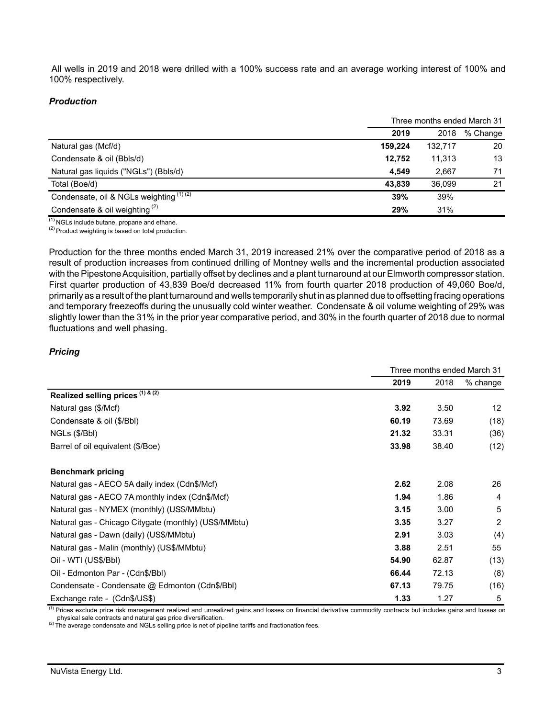All wells in 2019 and 2018 were drilled with a 100% success rate and an average working interest of 100% and 100% respectively.

### *Production*

|                                          | Three months ended March 31 |         |          |  |
|------------------------------------------|-----------------------------|---------|----------|--|
|                                          | 2019                        | 2018    | % Change |  |
| Natural gas (Mcf/d)                      | 159,224                     | 132,717 | 20       |  |
| Condensate & oil (Bbls/d)                | 12.752                      | 11.313  | 13       |  |
| Natural gas liquids ("NGLs") (Bbls/d)    | 4.549                       | 2.667   | 71       |  |
| Total (Boe/d)                            | 43.839                      | 36,099  | 21       |  |
| Condensate, oil & NGLs weighting (1) (2) | 39%                         | 39%     |          |  |
| Condensate & oil weighting $(2)$         | 29%                         | 31%     |          |  |

 $(1)$  NGLs include butane, propane and ethane.

 $(2)$  Product weighting is based on total production.

Production for the three months ended March 31, 2019 increased 21% over the comparative period of 2018 as a result of production increases from continued drilling of Montney wells and the incremental production associated with the Pipestone Acquisition, partially offset by declines and a plant turnaround at our Elmworth compressor station. First quarter production of 43,839 Boe/d decreased 11% from fourth quarter 2018 production of 49,060 Boe/d, primarily as a result of the plant turnaround and wells temporarily shut in as planned due to offsetting fracing operations and temporary freezeoffs during the unusually cold winter weather. Condensate & oil volume weighting of 29% was slightly lower than the 31% in the prior year comparative period, and 30% in the fourth quarter of 2018 due to normal fluctuations and well phasing.

## *Pricing*

|                                                       | Three months ended March 31 |       |                 |  |
|-------------------------------------------------------|-----------------------------|-------|-----------------|--|
|                                                       | 2019                        | 2018  | $%$ change      |  |
| Realized selling prices (1) & (2)                     |                             |       |                 |  |
| Natural gas (\$/Mcf)                                  | 3.92                        | 3.50  | 12 <sup>2</sup> |  |
| Condensate & oil (\$/Bbl)                             | 60.19                       | 73.69 | (18)            |  |
| NGLs (\$/Bbl)                                         | 21.32                       | 33.31 | (36)            |  |
| Barrel of oil equivalent (\$/Boe)                     | 33.98                       | 38.40 | (12)            |  |
| <b>Benchmark pricing</b>                              |                             |       |                 |  |
| Natural gas - AECO 5A daily index (Cdn\$/Mcf)         | 2.62                        | 2.08  | 26              |  |
| Natural gas - AECO 7A monthly index (Cdn\$/Mcf)       | 1.94                        | 1.86  | 4               |  |
| Natural gas - NYMEX (monthly) (US\$/MMbtu)            | 3.15                        | 3.00  | 5               |  |
| Natural gas - Chicago Citygate (monthly) (US\$/MMbtu) | 3.35                        | 3.27  | 2               |  |
| Natural gas - Dawn (daily) (US\$/MMbtu)               | 2.91                        | 3.03  | (4)             |  |
| Natural gas - Malin (monthly) (US\$/MMbtu)            | 3.88                        | 2.51  | 55              |  |
| Oil - WTI (US\$/BbI)                                  | 54.90                       | 62.87 | (13)            |  |
| Oil - Edmonton Par - (Cdn\$/Bbl)                      | 66.44                       | 72.13 | (8)             |  |
| Condensate - Condensate @ Edmonton (Cdn\$/Bbl)        | 67.13                       | 79.75 | (16)            |  |
| Exchange rate - (Cdn\$/US\$)                          | 1.33                        | 1.27  | 5               |  |

<sup>(1)</sup> Prices exclude price risk management realized and unrealized gains and losses on financial derivative commodity contracts but includes gains and losses on physical sale contracts and natural gas price diversification.

(2) The average condensate and NGLs selling price is net of pipeline tariffs and fractionation fees.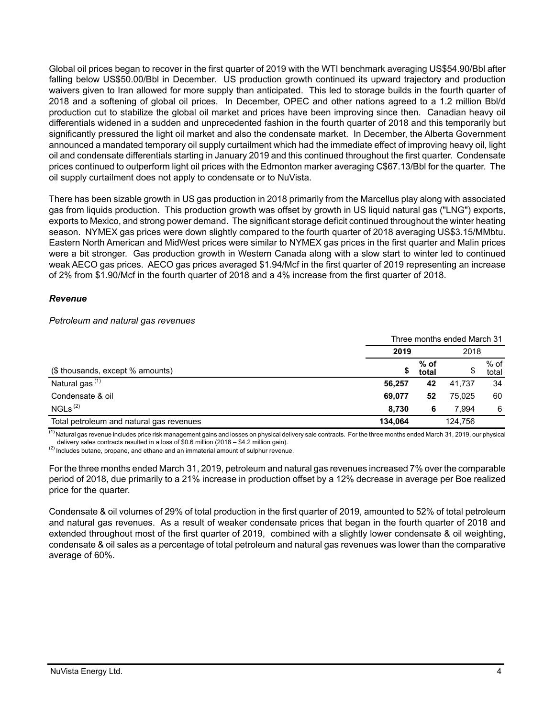Global oil prices began to recover in the first quarter of 2019 with the WTI benchmark averaging US\$54.90/Bbl after falling below US\$50.00/Bbl in December. US production growth continued its upward trajectory and production waivers given to Iran allowed for more supply than anticipated. This led to storage builds in the fourth quarter of 2018 and a softening of global oil prices. In December, OPEC and other nations agreed to a 1.2 million Bbl/d production cut to stabilize the global oil market and prices have been improving since then. Canadian heavy oil differentials widened in a sudden and unprecedented fashion in the fourth quarter of 2018 and this temporarily but significantly pressured the light oil market and also the condensate market. In December, the Alberta Government announced a mandated temporary oil supply curtailment which had the immediate effect of improving heavy oil, light oil and condensate differentials starting in January 2019 and this continued throughout the first quarter. Condensate prices continued to outperform light oil prices with the Edmonton marker averaging C\$67.13/Bbl for the quarter. The oil supply curtailment does not apply to condensate or to NuVista.

There has been sizable growth in US gas production in 2018 primarily from the Marcellus play along with associated gas from liquids production. This production growth was offset by growth in US liquid natural gas ("LNG") exports, exports to Mexico, and strong power demand. The significant storage deficit continued throughout the winter heating season. NYMEX gas prices were down slightly compared to the fourth quarter of 2018 averaging US\$3.15/MMbtu. Eastern North American and MidWest prices were similar to NYMEX gas prices in the first quarter and Malin prices were a bit stronger. Gas production growth in Western Canada along with a slow start to winter led to continued weak AECO gas prices. AECO gas prices averaged \$1.94/Mcf in the first quarter of 2019 representing an increase of 2% from \$1.90/Mcf in the fourth quarter of 2018 and a 4% increase from the first quarter of 2018.

#### *Revenue*

#### *Petroleum and natural gas revenues*

|                                          |         |                 | Three months ended March 31 |                 |
|------------------------------------------|---------|-----------------|-----------------------------|-----------------|
|                                          | 2019    |                 | 2018                        |                 |
| (\$ thousands, except % amounts)         | \$      | $%$ of<br>total |                             | $%$ of<br>total |
| Natural gas <sup>(1)</sup>               | 56,257  | 42              | 41.737                      | 34              |
| Condensate & oil                         | 69.077  | 52              | 75.025                      | 60              |
| NGLs <sup>(2)</sup>                      | 8.730   | 6               | 7.994                       | 6               |
| Total petroleum and natural gas revenues | 134,064 |                 | 124,756                     |                 |

 $\frac{(1)}{(1)}$ Natural gas revenue includes price risk management gains and losses on physical delivery sale contracts. For the three months ended March 31, 2019, our physical delivery sales contracts resulted in a loss of \$0.6 million (2018 – \$4.2 million gain).

(2) Includes butane, propane, and ethane and an immaterial amount of sulphur revenue.

For the three months ended March 31, 2019, petroleum and natural gas revenues increased7% over the comparable period of 2018, due primarily to a 21% increase in production offset by a 12% decrease in average per Boe realized price for the quarter.

Condensate & oil volumes of 29% of total production in the first quarter of 2019, amounted to 52% of total petroleum and natural gas revenues. As a result of weaker condensate prices that began in the fourth quarter of 2018 and extended throughout most of the first quarter of 2019, combined with a slightly lower condensate & oil weighting, condensate & oil sales as a percentage of total petroleum and natural gas revenues was lower than the comparative average of 60%.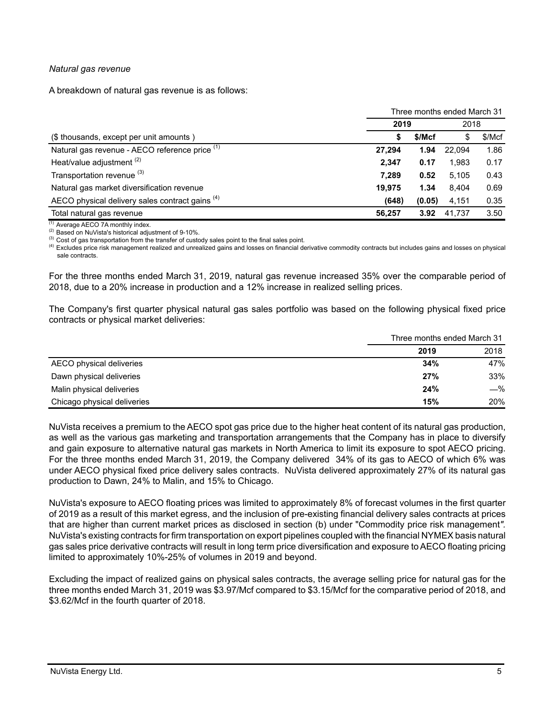### *Natural gas revenue*

A breakdown of natural gas revenue is as follows:

|                                                 |        | Three months ended March 31 |        |        |  |
|-------------------------------------------------|--------|-----------------------------|--------|--------|--|
|                                                 | 2019   |                             | 2018   |        |  |
| (\$ thousands, except per unit amounts)         |        | \$/Mcf                      | S      | \$/Mcf |  |
| Natural gas revenue - AECO reference price (1)  | 27.294 | 1.94                        | 22.094 | 1.86   |  |
| Heat/value adjustment <sup>(2)</sup>            | 2.347  | 0.17                        | 1,983  | 0.17   |  |
| Transportation revenue <sup>(3)</sup>           | 7.289  | 0.52                        | 5.105  | 0.43   |  |
| Natural gas market diversification revenue      | 19.975 | 1.34                        | 8.404  | 0.69   |  |
| AECO physical delivery sales contract gains (4) | (648)  | (0.05)                      | 4,151  | 0.35   |  |
| Total natural gas revenue                       | 56,257 | 3.92                        | 41.737 | 3.50   |  |

(1) Average AECO 7A monthly index.

(2) Based on NuVista's historical adjustment of 9-10%.

<sup>(3)</sup> Cost of gas transportation from the transfer of custody sales point to the final sales point.

(4) Excludes price risk management realized and unrealized gains and losses on financial derivative commodity contracts but includes gains and losses on physical sale contracts.

For the three months ended March 31, 2019, natural gas revenue increased 35% over the comparable period of 2018, due to a 20% increase in production and a 12% increase in realized selling prices.

The Company's first quarter physical natural gas sales portfolio was based on the following physical fixed price contracts or physical market deliveries:

|                             | Three months ended March 31 |       |  |
|-----------------------------|-----------------------------|-------|--|
|                             | 2019                        | 2018  |  |
| AECO physical deliveries    | 34%                         | 47%   |  |
| Dawn physical deliveries    | 27%                         | 33%   |  |
| Malin physical deliveries   | 24%                         | $-\%$ |  |
| Chicago physical deliveries | 15%                         | 20%   |  |

NuVista receives a premium to the AECO spot gas price due to the higher heat content of its natural gas production, as well as the various gas marketing and transportation arrangements that the Company has in place to diversify and gain exposure to alternative natural gas markets in North America to limit its exposure to spot AECO pricing. For the three months ended March 31, 2019, the Company delivered 34% of its gas to AECO of which 6% was under AECO physical fixed price delivery sales contracts. NuVista delivered approximately 27% of its natural gas production to Dawn, 24% to Malin, and 15% to Chicago.

NuVista's exposure to AECO floating prices was limited to approximately 8% of forecast volumes in the first quarter of 2019 as a result of this market egress, and the inclusion of pre-existing financial delivery sales contracts at prices that are higher than current market prices as disclosed in section (b) under "Commodity price risk management*".* NuVista's existing contracts for firm transportation on export pipelines coupled with the financial NYMEX basis natural gas sales price derivative contracts will result in long term price diversification and exposure to AECO floating pricing limited to approximately 10%-25% of volumes in 2019 and beyond.

Excluding the impact of realized gains on physical sales contracts, the average selling price for natural gas for the three months ended March 31, 2019 was \$3.97/Mcf compared to \$3.15/Mcf for the comparative period of 2018, and \$3.62/Mcf in the fourth quarter of 2018.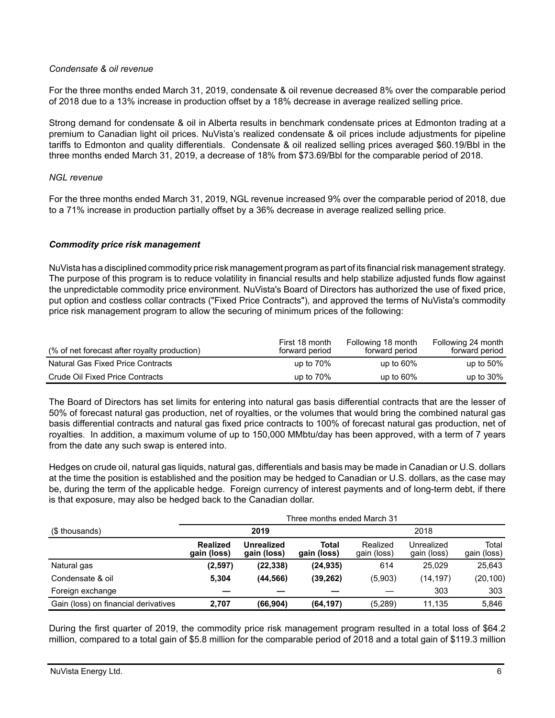## *Condensate & oil revenue*

For the three months ended March 31, 2019, condensate & oil revenue decreased 8% over the comparable period of 2018 due to a 13% increase in production offset by a 18% decrease in average realized selling price.

Strong demand for condensate & oil in Alberta results in benchmark condensate prices at Edmonton trading at a premium to Canadian light oil prices. NuVista's realized condensate & oil prices include adjustments for pipeline tariffs to Edmonton and quality differentials. Condensate & oil realized selling prices averaged \$60.19/Bbl in the three months ended March 31, 2019, a decrease of 18% from \$73.69/Bbl for the comparable period of 2018.

## *NGL revenue*

For the three months ended March 31, 2019, NGL revenue increased 9% over the comparable period of 2018, due to a 71% increase in production partially offset by a 36% decrease in average realized selling price.

# *Commodity price risk management*

NuVista has a disciplined commodity price risk management program as part of its financial risk management strategy. The purpose of this program is to reduce volatility in financial results and help stabilize adjusted funds flow against the unpredictable commodity price environment. NuVista's Board of Directors has authorized the use of fixed price, put option and costless collar contracts ("Fixed Price Contracts"), and approved the terms of NuVista's commodity price risk management program to allow the securing of minimum prices of the following:

| (% of net forecast after royalty production) | First 18 month<br>forward period | Following 18 month<br>forward period | Following 24 month<br>forward period |
|----------------------------------------------|----------------------------------|--------------------------------------|--------------------------------------|
| Natural Gas Fixed Price Contracts            | up to $70\%$                     | up to $60\%$                         | up to $50\%$                         |
| Crude Oil Fixed Price Contracts              | up to $70\%$                     | up to $60\%$                         | up to $30\%$                         |

The Board of Directors has set limits for entering into natural gas basis differential contracts that are the lesser of 50% of forecast natural gas production, net of royalties, or the volumes that would bring the combined natural gas basis differential contracts and natural gas fixed price contracts to 100% of forecast natural gas production, net of royalties. In addition, a maximum volume of up to 150,000 MMbtu/day has been approved, with a term of 7 years from the date any such swap is entered into.

Hedges on crude oil, natural gas liquids, natural gas, differentials and basis may be made in Canadian or U.S. dollars at the time the position is established and the position may be hedged to Canadian or U.S. dollars, as the case may be, during the term of the applicable hedge. Foreign currency of interest payments and of long-term debt, if there is that exposure, may also be hedged back to the Canadian dollar.

|                                      | Three months ended March 31    |                           |                      |                         |                           |                      |  |  |
|--------------------------------------|--------------------------------|---------------------------|----------------------|-------------------------|---------------------------|----------------------|--|--|
| (\$ thousands)                       |                                | 2019                      |                      |                         | 2018                      |                      |  |  |
|                                      | <b>Realized</b><br>gain (loss) | Unrealized<br>gain (loss) | Total<br>gain (loss) | Realized<br>gain (loss) | Unrealized<br>gain (loss) | Total<br>gain (loss) |  |  |
| Natural gas                          | (2, 597)                       | (22, 338)                 | (24, 935)            | 614                     | 25.029                    | 25.643               |  |  |
| Condensate & oil                     | 5.304                          | (44, 566)                 | (39, 262)            | (5,903)                 | (14, 197)                 | (20, 100)            |  |  |
| Foreign exchange                     |                                |                           |                      |                         | 303                       | 303                  |  |  |
| Gain (loss) on financial derivatives | 2,707                          | (66, 904)                 | (64, 197)            | (5,289)                 | 11,135                    | 5,846                |  |  |

During the first quarter of 2019, the commodity price risk management program resulted in a total loss of \$64.2 million, compared to a total gain of \$5.8 million for the comparable period of 2018 and a total gain of \$119.3 million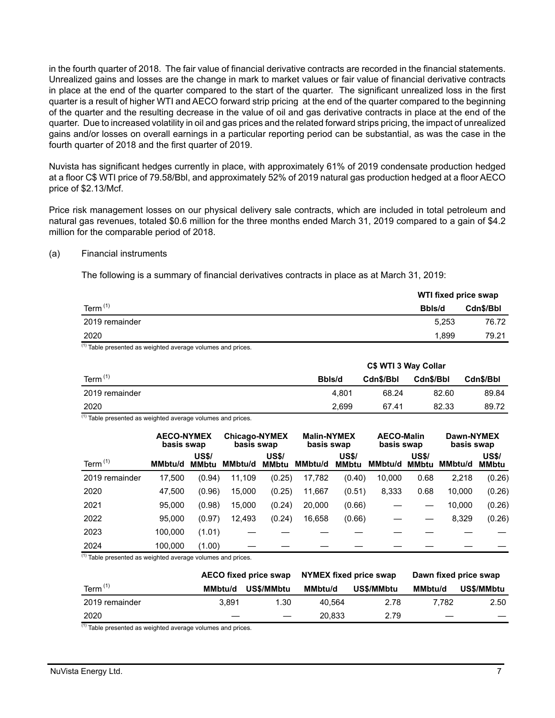in the fourth quarter of 2018. The fair value of financial derivative contracts are recorded in the financial statements. Unrealized gains and losses are the change in mark to market values or fair value of financial derivative contracts in place at the end of the quarter compared to the start of the quarter. The significant unrealized loss in the first quarter is a result of higher WTI and AECO forward strip pricing at the end of the quarter compared to the beginning of the quarter and the resulting decrease in the value of oil and gas derivative contracts in place at the end of the quarter. Due to increased volatility in oil and gas prices and the related forward strips pricing, the impact of unrealized gains and/or losses on overall earnings in a particular reporting period can be substantial, as was the case in the fourth quarter of 2018 and the first quarter of 2019.

Nuvista has significant hedges currently in place, with approximately 61% of 2019 condensate production hedged at a floor C\$ WTI price of 79.58/Bbl, and approximately 52% of 2019 natural gas production hedged at a floor AECO price of \$2.13/Mcf.

Price risk management losses on our physical delivery sale contracts, which are included in total petroleum and natural gas revenues, totaled \$0.6 million for the three months ended March 31, 2019 compared to a gain of \$4.2 million for the comparable period of 2018.

#### (a) Financial instruments

The following is a summary of financial derivatives contracts in place as at March 31, 2019:

|                | WTI fixed price swap |           |  |
|----------------|----------------------|-----------|--|
| Term $(1)$     | Bbls/d               | Cdn\$/Bbl |  |
| 2019 remainder | 5.253                | 76.72     |  |
| 2020           | 1,899                | 79.21     |  |

(1) Table presented as weighted average volumes and prices.

|                | C\$ WTI 3 Way Collar |           |           |           |  |
|----------------|----------------------|-----------|-----------|-----------|--|
| Term $(1)$     | Bbls/d               | Cdn\$/Bbl | Cdn\$/Bbl | Cdn\$/Bbl |  |
| 2019 remainder | 4.801                | 68.24     | 82.60     | 89.84     |  |
| 2020           | 2.699                | 67.41     | 82.33     | 89.72     |  |

 $<sup>(1)</sup>$  Table presented as weighted average volumes and prices.</sup>

|                | <b>AECO-NYMEX</b><br>basis swap |                              | <b>Chicago-NYMEX</b><br>basis swap |                              | <b>Malin-NYMEX</b><br>basis swap |                              | <b>AECO-Malin</b><br>basis swap |                              | Dawn-NYMEX<br>basis swap |                              |
|----------------|---------------------------------|------------------------------|------------------------------------|------------------------------|----------------------------------|------------------------------|---------------------------------|------------------------------|--------------------------|------------------------------|
| Term $(1)$     | <b>MMbtu/d</b>                  | <b>US\$/</b><br><b>MMbtu</b> | MMbtu/d                            | <b>US\$/</b><br><b>MMbtu</b> | <b>MMbtu/d</b>                   | <b>US\$/</b><br><b>MMbtu</b> | MMbtu/d                         | <b>US\$/</b><br><b>MMbtu</b> | <b>MMbtu/d</b>           | <b>US\$/</b><br><b>MMbtu</b> |
| 2019 remainder | 17,500                          | (0.94)                       | 11,109                             | (0.25)                       | 17,782                           | (0.40)                       | 10.000                          | 0.68                         | 2,218                    | (0.26)                       |
| 2020           | 47.500                          | (0.96)                       | 15,000                             | (0.25)                       | 11,667                           | (0.51)                       | 8,333                           | 0.68                         | 10,000                   | (0.26)                       |
| 2021           | 95.000                          | (0.98)                       | 15,000                             | (0.24)                       | 20,000                           | (0.66)                       |                                 |                              | 10,000                   | (0.26)                       |
| 2022           | 95,000                          | (0.97)                       | 12,493                             | (0.24)                       | 16,658                           | (0.66)                       |                                 |                              | 8,329                    | (0.26)                       |
| 2023           | 100.000                         | (1.01)                       |                                    |                              |                                  |                              |                                 |                              |                          |                              |
| 2024           | 100.000                         | (1.00)                       |                                    |                              |                                  |                              |                                 |                              |                          |                              |

 $<sup>(1)</sup>$  Table presented as weighted average volumes and prices.</sup>

|                | AECO fixed price swap |            | NYMEX fixed price swap |            | Dawn fixed price swap |            |  |
|----------------|-----------------------|------------|------------------------|------------|-----------------------|------------|--|
| Term $(1)$     | MMbtu/d               | US\$/MMbtu | MMbtu/d                | US\$/MMbtu | <b>MMbtu/d</b>        | US\$/MMbtu |  |
| 2019 remainder | 3.891                 | 1.30       | 40.564                 | 2.78       | 7.782                 | 2.50       |  |
| 2020           |                       |            | 20.833                 | 2.79       |                       |            |  |

 $<sup>(1)</sup>$  Table presented as weighted average volumes and prices.</sup>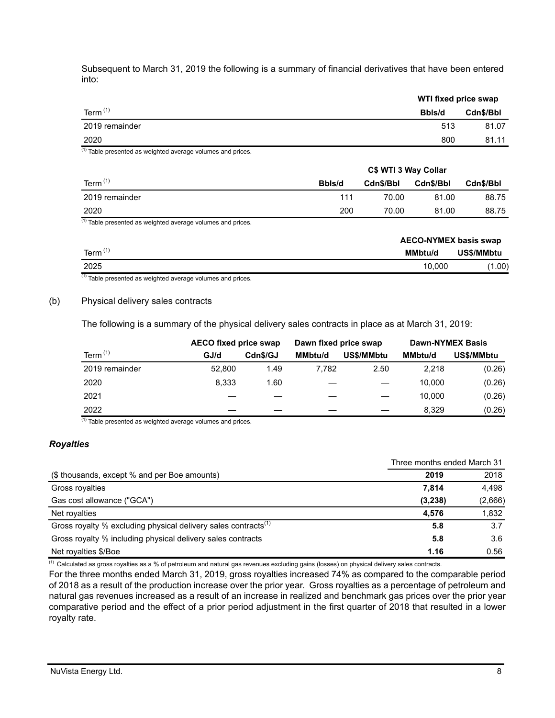Subsequent to March 31, 2019 the following is a summary of financial derivatives that have been entered into:

|                       | WTI fixed price swap |  |  |
|-----------------------|----------------------|--|--|
| Term $(1)$<br>Bbls/d  | Cdn\$/Bbl            |  |  |
| 2019 remainder<br>513 | 81.07                |  |  |
| 2020<br>800           | 81.11                |  |  |

 $(1)$  Table presented as weighted average volumes and prices.

|                | C\$ WTI 3 Way Collar |           |           |           |
|----------------|----------------------|-----------|-----------|-----------|
| Term $(1)$     | Bbls/d               | Cdn\$/Bbl | Cdn\$/Bbl | Cdn\$/Bbl |
| 2019 remainder | 111                  | 70.00     | 81.00     | 88.75     |
| 2020           | 200                  | 70.00     | 81.00     | 88.75     |

 $(1)$  Table presented as weighted average volumes and prices.

|                    | <b>AECO-NYMEX basis swap</b> |            |
|--------------------|------------------------------|------------|
| Term <sup>(1</sup> | MMbtu/d                      | US\$/MMbtu |
| 2025               | 10.000                       | (1.00)     |

 $(1)$  Table presented as weighted average volumes and prices.

#### (b) Physical delivery sales contracts

The following is a summary of the physical delivery sales contracts in place as at March 31, 2019:

|                | <b>AECO fixed price swap</b> |          | Dawn fixed price swap |            |                | <b>Dawn-NYMEX Basis</b> |
|----------------|------------------------------|----------|-----------------------|------------|----------------|-------------------------|
| Term $(1)$     | GJ/d                         | Cdn\$/GJ | <b>MMbtu/d</b>        | US\$/MMbtu | <b>MMbtu/d</b> | US\$/MMbtu              |
| 2019 remainder | 52,800                       | 1.49     | 7.782                 | 2.50       | 2.218          | (0.26)                  |
| 2020           | 8.333                        | 1.60     |                       |            | 10,000         | (0.26)                  |
| 2021           |                              |          |                       |            | 10.000         | (0.26)                  |
| 2022           |                              |          |                       |            | 8.329          | (0.26)                  |

 $(1)$  Table presented as weighted average volumes and prices.

## *Royalties*

|                                                                            | Three months ended March 31 |         |  |
|----------------------------------------------------------------------------|-----------------------------|---------|--|
| (\$ thousands, except % and per Boe amounts)                               | 2019                        | 2018    |  |
| Gross royalties                                                            | 7.814                       | 4,498   |  |
| Gas cost allowance ("GCA")                                                 | (3,238)                     | (2,666) |  |
| Net royalties                                                              | 4.576                       | 1,832   |  |
| Gross royalty % excluding physical delivery sales contracts <sup>(1)</sup> | 5.8                         | 3.7     |  |
| Gross royalty % including physical delivery sales contracts                | 5.8                         | 3.6     |  |
| Net royalties \$/Boe                                                       | 1.16                        | 0.56    |  |

 $<sup>(1)</sup>$  Calculated as gross royalties as a % of petroleum and natural gas revenues excluding gains (losses) on physical delivery sales contracts.</sup>

For the three months ended March 31, 2019, gross royalties increased 74% as compared to the comparable period of 2018 as a result of the production increase over the prior year. Gross royalties as a percentage of petroleum and natural gas revenues increased as a result of an increase in realized and benchmark gas prices over the prior year comparative period and the effect of a prior period adjustment in the first quarter of 2018 that resulted in a lower royalty rate.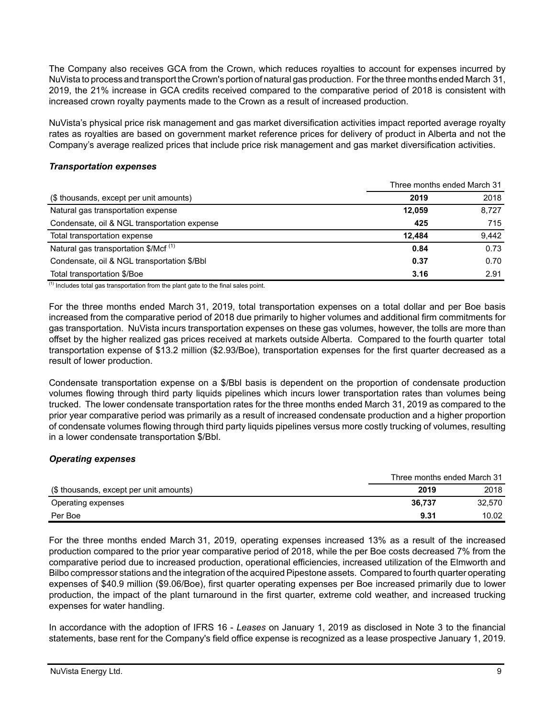The Company also receives GCA from the Crown, which reduces royalties to account for expenses incurred by NuVista to process and transport the Crown's portion of natural gas production. For the three months ended March 31, 2019, the 21% increase in GCA credits received compared to the comparative period of 2018 is consistent with increased crown royalty payments made to the Crown as a result of increased production.

NuVista's physical price risk management and gas market diversification activities impact reported average royalty rates as royalties are based on government market reference prices for delivery of product in Alberta and not the Company's average realized prices that include price risk management and gas market diversification activities.

### *Transportation expenses*

|                                                  | Three months ended March 31 |       |  |
|--------------------------------------------------|-----------------------------|-------|--|
| (\$ thousands, except per unit amounts)          | 2019                        | 2018  |  |
| Natural gas transportation expense               | 12.059                      | 8,727 |  |
| Condensate, oil & NGL transportation expense     | 425                         | 715   |  |
| Total transportation expense                     | 12.484                      | 9,442 |  |
| Natural gas transportation \$/Mcf <sup>(1)</sup> | 0.84                        | 0.73  |  |
| Condensate, oil & NGL transportation \$/Bbl      | 0.37                        | 0.70  |  |
| Total transportation \$/Boe                      | 3.16                        | 2.91  |  |

 $<sup>(1)</sup>$  Includes total gas transportation from the plant gate to the final sales point.</sup>

For the three months ended March 31, 2019, total transportation expenses on a total dollar and per Boe basis increased from the comparative period of 2018 due primarily to higher volumes and additional firm commitments for gas transportation. NuVista incurs transportation expenses on these gas volumes, however, the tolls are more than offset by the higher realized gas prices received at markets outside Alberta. Compared to the fourth quarter total transportation expense of \$13.2 million (\$2.93/Boe), transportation expenses for the first quarter decreased as a result of lower production.

Condensate transportation expense on a \$/Bbl basis is dependent on the proportion of condensate production volumes flowing through third party liquids pipelines which incurs lower transportation rates than volumes being trucked. The lower condensate transportation rates for the three months ended March 31, 2019 as compared to the prior year comparative period was primarily as a result of increased condensate production and a higher proportion of condensate volumes flowing through third party liquids pipelines versus more costly trucking of volumes, resulting in a lower condensate transportation \$/Bbl.

## *Operating expenses*

|                                         | Three months ended March 31 |        |
|-----------------------------------------|-----------------------------|--------|
| (\$ thousands, except per unit amounts) | 2019                        | 2018   |
| Operating expenses                      | 36.737                      | 32.570 |
| Per Boe                                 | 9.31                        | 10.02  |

For the three months ended March 31, 2019, operating expenses increased 13% as a result of the increased production compared to the prior year comparative period of 2018, while the per Boe costs decreased 7% from the comparative period due to increased production, operational efficiencies, increased utilization of the Elmworth and Bilbo compressor stations and the integration of the acquired Pipestone assets. Compared to fourth quarter operating expenses of \$40.9 million (\$9.06/Boe), first quarter operating expenses per Boe increased primarily due to lower production, the impact of the plant turnaround in the first quarter, extreme cold weather, and increased trucking expenses for water handling.

In accordance with the adoption of IFRS 16 - *Leases* on January 1, 2019 as disclosed in Note 3 to the financial statements, base rent for the Company's field office expense is recognized as a lease prospective January 1, 2019.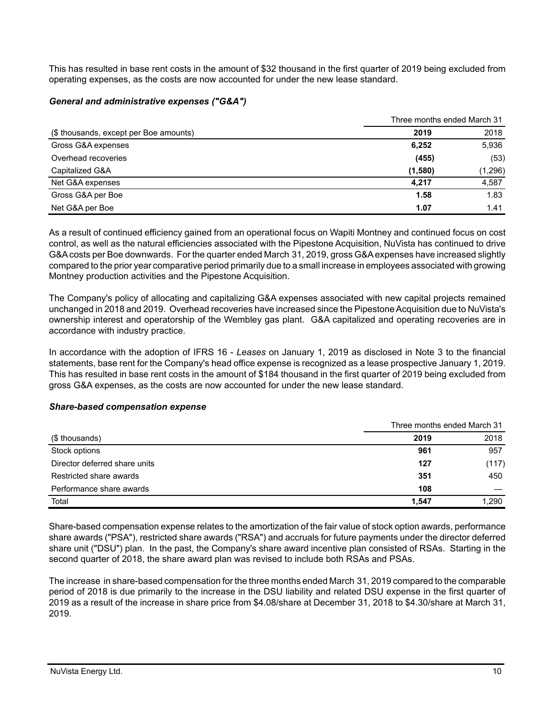This has resulted in base rent costs in the amount of \$32 thousand in the first quarter of 2019 being excluded from operating expenses, as the costs are now accounted for under the new lease standard.

### *General and administrative expenses ("G&A")*

|                                        | Three months ended March 31 |         |
|----------------------------------------|-----------------------------|---------|
| (\$ thousands, except per Boe amounts) | 2019                        | 2018    |
| Gross G&A expenses                     | 6,252                       | 5,936   |
| Overhead recoveries                    | (455)                       | (53)    |
| Capitalized G&A                        | (1,580)                     | (1,296) |
| Net G&A expenses                       | 4.217                       | 4,587   |
| Gross G&A per Boe                      | 1.58                        | 1.83    |
| Net G&A per Boe                        | 1.07                        | 1.41    |

As a result of continued efficiency gained from an operational focus on Wapiti Montney and continued focus on cost control, as well as the natural efficiencies associated with the Pipestone Acquisition, NuVista has continued to drive G&A costs per Boe downwards. For the quarter ended March 31, 2019, gross G&A expenses have increased slightly compared to the prior year comparative period primarily due to a small increase in employees associated with growing Montney production activities and the Pipestone Acquisition.

The Company's policy of allocating and capitalizing G&A expenses associated with new capital projects remained unchanged in 2018 and 2019. Overhead recoveries have increased since the Pipestone Acquisition due to NuVista's ownership interest and operatorship of the Wembley gas plant. G&A capitalized and operating recoveries are in accordance with industry practice.

In accordance with the adoption of IFRS 16 - *Leases* on January 1, 2019 as disclosed in Note 3 to the financial statements, base rent for the Company's head office expense is recognized as a lease prospective January 1, 2019. This has resulted in base rent costs in the amount of \$184 thousand in the first quarter of 2019 being excluded from gross G&A expenses, as the costs are now accounted for under the new lease standard.

#### *Share-based compensation expense*

|                               | Three months ended March 31 |       |  |
|-------------------------------|-----------------------------|-------|--|
| (\$ thousands)                | 2019                        | 2018  |  |
| Stock options                 | 961                         | 957   |  |
| Director deferred share units | 127                         | (117) |  |
| Restricted share awards       | 351                         | 450   |  |
| Performance share awards      | 108                         |       |  |
| Total                         | 1.547                       | 1,290 |  |

Share-based compensation expense relates to the amortization of the fair value of stock option awards, performance share awards ("PSA"), restricted share awards ("RSA") and accruals for future payments under the director deferred share unit ("DSU") plan. In the past, the Company's share award incentive plan consisted of RSAs. Starting in the second quarter of 2018, the share award plan was revised to include both RSAs and PSAs.

The increase in share-based compensation for the three months ended March 31, 2019 compared to the comparable period of 2018 is due primarily to the increase in the DSU liability and related DSU expense in the first quarter of 2019 as a result of the increase in share price from \$4.08/share at December 31, 2018 to \$4.30/share at March 31, 2019.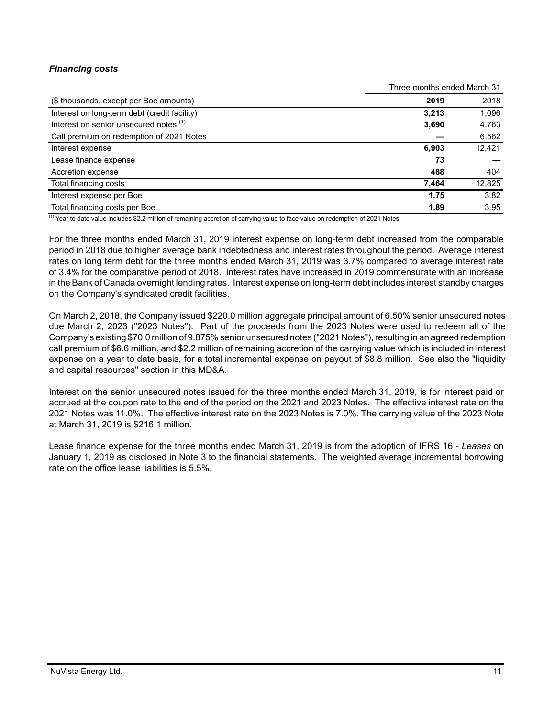# *Financing costs*

|                                              | Three months ended March 31 |        |  |
|----------------------------------------------|-----------------------------|--------|--|
| (\$ thousands, except per Boe amounts)       | 2019                        | 2018   |  |
| Interest on long-term debt (credit facility) | 3.213                       | 1,096  |  |
| Interest on senior unsecured notes (1)       | 3,690                       | 4,763  |  |
| Call premium on redemption of 2021 Notes     |                             | 6,562  |  |
| Interest expense                             | 6.903                       | 12,421 |  |
| Lease finance expense                        | 73                          |        |  |
| Accretion expense                            | 488                         | 404    |  |
| Total financing costs                        | 7,464                       | 12,825 |  |
| Interest expense per Boe                     | 1.75                        | 3.82   |  |
| Total financing costs per Boe                | 1.89                        | 3.95   |  |

(1) Year to date value includes \$2.2 million of remaining accretion of carrying value to face value on redemption of 2021 Notes.

For the three months ended March 31, 2019 interest expense on long-term debt increased from the comparable period in 2018 due to higher average bank indebtedness and interest rates throughout the period. Average interest rates on long term debt for the three months ended March 31, 2019 was 3.7% compared to average interest rate of 3.4% for the comparative period of 2018. Interest rates have increased in 2019 commensurate with an increase in the Bank of Canada overnight lending rates. Interest expense on long-term debt includes interest standby charges on the Company's syndicated credit facilities.

On March 2, 2018, the Company issued \$220.0 million aggregate principal amount of 6.50% senior unsecured notes due March 2, 2023 ("2023 Notes"). Part of the proceeds from the 2023 Notes were used to redeem all of the Company's existing \$70.0 million of 9.875% senior unsecured notes ("2021 Notes"), resulting in an agreed redemption call premium of \$6.6 million, and \$2.2 million of remaining accretion of the carrying value which is included in interest expense on a year to date basis, for a total incremental expense on payout of \$8.8 million. See also the "liquidity and capital resources" section in this MD&A.

Interest on the senior unsecured notes issued for the three months ended March 31, 2019, is for interest paid or accrued at the coupon rate to the end of the period on the 2021 and 2023 Notes. The effective interest rate on the 2021 Notes was 11.0%. The effective interest rate on the 2023 Notes is 7.0%. The carrying value of the 2023 Note at March 31, 2019 is \$216.1 million.

Lease finance expense for the three months ended March 31, 2019 is from the adoption of IFRS 16 - *Leases* on January 1, 2019 as disclosed in Note 3 to the financial statements. The weighted average incremental borrowing rate on the office lease liabilities is 5.5%.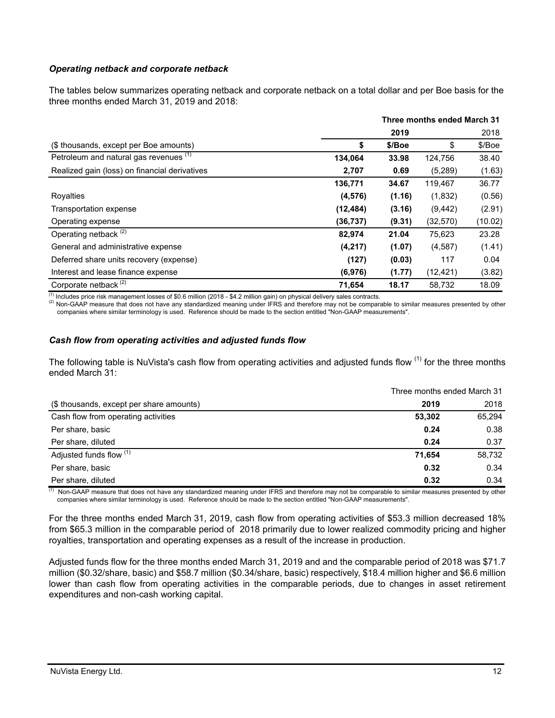## *Operating netback and corporate netback*

The tables below summarizes operating netback and corporate netback on a total dollar and per Boe basis for the three months ended March 31, 2019 and 2018:

|                                               | Three months ended March 31 |        |           |         |
|-----------------------------------------------|-----------------------------|--------|-----------|---------|
|                                               |                             | 2019   |           | 2018    |
| (\$ thousands, except per Boe amounts)        | \$                          | \$/Boe | \$        | \$/Boe  |
| Petroleum and natural gas revenues (1)        | 134,064                     | 33.98  | 124,756   | 38.40   |
| Realized gain (loss) on financial derivatives | 2,707                       | 0.69   | (5,289)   | (1.63)  |
|                                               | 136,771                     | 34.67  | 119,467   | 36.77   |
| Royalties                                     | (4, 576)                    | (1.16) | (1,832)   | (0.56)  |
| Transportation expense                        | (12, 484)                   | (3.16) | (9, 442)  | (2.91)  |
| Operating expense                             | (36,737)                    | (9.31) | (32, 570) | (10.02) |
| Operating netback <sup>(2)</sup>              | 82,974                      | 21.04  | 75,623    | 23.28   |
| General and administrative expense            | (4,217)                     | (1.07) | (4,587)   | (1.41)  |
| Deferred share units recovery (expense)       | (127)                       | (0.03) | 117       | 0.04    |
| Interest and lease finance expense            | (6,976)                     | (1.77) | (12, 421) | (3.82)  |
| Corporate netback <sup>(2)</sup>              | 71,654                      | 18.17  | 58,732    | 18.09   |

 $<sup>(1)</sup>$  Includes price risk management losses of \$0.6 million (2018 - \$4.2 million gain) on physical delivery sales contracts.</sup>

<sup>(2)</sup> Non-GAAP measure that does not have any standardized meaning under IFRS and therefore may not be comparable to similar measures presented by other companies where similar terminology is used. Reference should be made to the section entitled "Non-GAAP measurements".

## *Cash flow from operating activities and adjusted funds flow*

The following table is NuVista's cash flow from operating activities and adjusted funds flow  $(1)$  for the three months ended March 31:

|                                          | Three months ended March 31 |        |  |
|------------------------------------------|-----------------------------|--------|--|
| (\$ thousands, except per share amounts) | 2019                        | 2018   |  |
| Cash flow from operating activities      | 53,302                      | 65,294 |  |
| Per share, basic                         | 0.24                        | 0.38   |  |
| Per share, diluted                       | 0.24                        | 0.37   |  |
| Adjusted funds flow (1)                  | 71,654                      | 58,732 |  |
| Per share, basic                         | 0.32                        | 0.34   |  |
| Per share, diluted                       | 0.32                        | 0.34   |  |

(1) Non-GAAP measure that does not have any standardized meaning under IFRS and therefore may not be comparable to similar measures presented by other companies where similar terminology is used. Reference should be made to the section entitled "Non-GAAP measurements".

For the three months ended March 31, 2019, cash flow from operating activities of \$53.3 million decreased 18% from \$65.3 million in the comparable period of 2018 primarily due to lower realized commodity pricing and higher royalties, transportation and operating expenses as a result of the increase in production.

Adjusted funds flow for the three months ended March 31, 2019 and and the comparable period of 2018 was \$71.7 million (\$0.32/share, basic) and \$58.7 million (\$0.34/share, basic) respectively, \$18.4 million higher and \$6.6 million lower than cash flow from operating activities in the comparable periods, due to changes in asset retirement expenditures and non-cash working capital.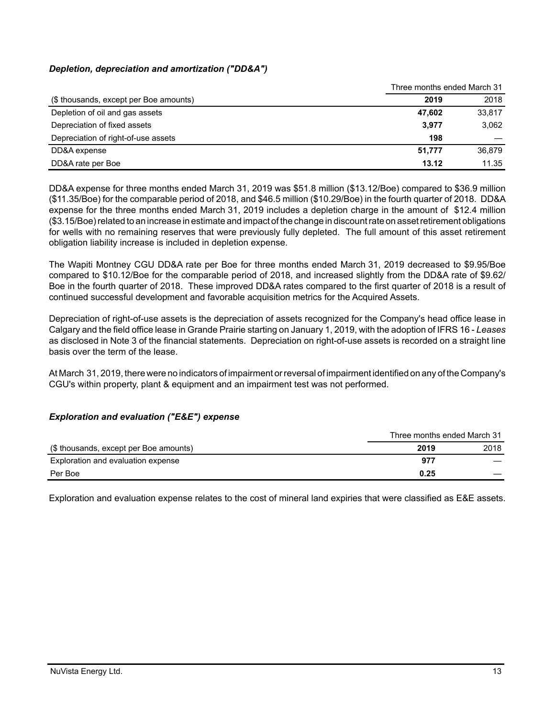# *Depletion, depreciation and amortization ("DD&A")*

|                                        | Three months ended March 31 |        |  |
|----------------------------------------|-----------------------------|--------|--|
| (\$ thousands, except per Boe amounts) | 2019                        | 2018   |  |
| Depletion of oil and gas assets        | 47.602                      | 33,817 |  |
| Depreciation of fixed assets           | 3,977                       | 3,062  |  |
| Depreciation of right-of-use assets    | 198                         |        |  |
| DD&A expense                           | 51,777                      | 36.879 |  |
| DD&A rate per Boe                      | 13.12                       | 11.35  |  |

DD&A expense for three months ended March 31, 2019 was \$51.8 million (\$13.12/Boe) compared to \$36.9 million (\$11.35/Boe) for the comparable period of 2018, and \$46.5 million (\$10.29/Boe) in the fourth quarter of 2018. DD&A expense for the three months ended March 31, 2019 includes a depletion charge in the amount of \$12.4 million (\$3.15/Boe) related to an increase in estimate and impact of the change in discount rate on asset retirement obligations for wells with no remaining reserves that were previously fully depleted. The full amount of this asset retirement obligation liability increase is included in depletion expense.

The Wapiti Montney CGU DD&A rate per Boe for three months ended March 31, 2019 decreased to \$9.95/Boe compared to \$10.12/Boe for the comparable period of 2018, and increased slightly from the DD&A rate of \$9.62/ Boe in the fourth quarter of 2018. These improved DD&A rates compared to the first quarter of 2018 is a result of continued successful development and favorable acquisition metrics for the Acquired Assets.

Depreciation of right-of-use assets is the depreciation of assets recognized for the Company's head office lease in Calgary and the field office lease in Grande Prairie starting on January 1, 2019, with the adoption of IFRS 16 - *Leases* as disclosed in Note 3 of the financial statements. Depreciation on right-of-use assets is recorded on a straight line basis over the term of the lease.

At March 31, 2019, there were no indicators of impairment or reversal of impairment identified on any of the Company's CGU's within property, plant & equipment and an impairment test was not performed.

## *Exploration and evaluation ("E&E") expense*

|                                        | Three months ended March 31 |      |
|----------------------------------------|-----------------------------|------|
| (\$ thousands, except per Boe amounts) | 2019                        | 2018 |
| Exploration and evaluation expense     | 977                         |      |
| Per Boe                                | 0.25                        |      |

Exploration and evaluation expense relates to the cost of mineral land expiries that were classified as E&E assets.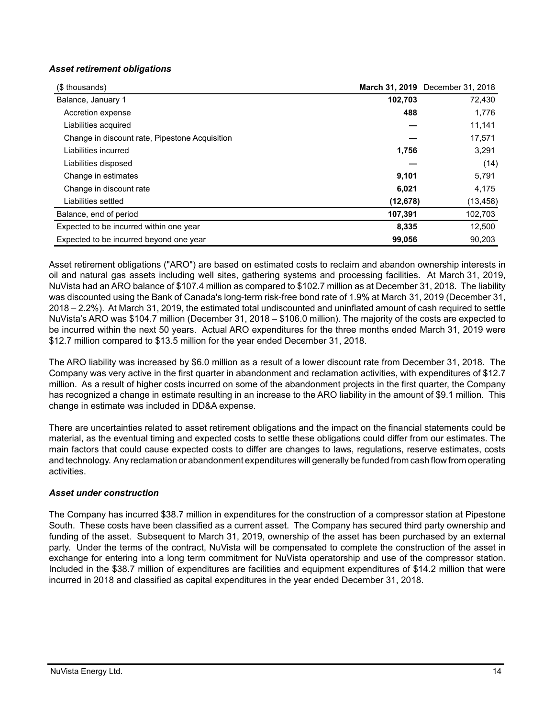## *Asset retirement obligations*

| (\$ thousands)                                 |           | March 31, 2019 December 31, 2018 |
|------------------------------------------------|-----------|----------------------------------|
| Balance, January 1                             | 102,703   | 72,430                           |
| Accretion expense                              | 488       | 1,776                            |
| Liabilities acquired                           |           | 11,141                           |
| Change in discount rate, Pipestone Acquisition |           | 17,571                           |
| Liabilities incurred                           | 1,756     | 3,291                            |
| Liabilities disposed                           |           | (14)                             |
| Change in estimates                            | 9,101     | 5,791                            |
| Change in discount rate                        | 6,021     | 4,175                            |
| Liabilities settled                            | (12, 678) | (13, 458)                        |
| Balance, end of period                         | 107,391   | 102,703                          |
| Expected to be incurred within one year        | 8.335     | 12,500                           |
| Expected to be incurred beyond one year        | 99.056    | 90.203                           |

Asset retirement obligations ("ARO") are based on estimated costs to reclaim and abandon ownership interests in oil and natural gas assets including well sites, gathering systems and processing facilities. At March 31, 2019, NuVista had an ARO balance of \$107.4 million as compared to \$102.7 million as at December 31, 2018. The liability was discounted using the Bank of Canada's long-term risk-free bond rate of 1.9% at March 31, 2019 (December 31, 2018 – 2.2%). At March 31, 2019, the estimated total undiscounted and uninflated amount of cash required to settle NuVista's ARO was \$104.7 million (December 31, 2018 – \$106.0 million). The majority of the costs are expected to be incurred within the next 50 years. Actual ARO expenditures for the three months ended March 31, 2019 were \$12.7 million compared to \$13.5 million for the year ended December 31, 2018.

The ARO liability was increased by \$6.0 million as a result of a lower discount rate from December 31, 2018. The Company was very active in the first quarter in abandonment and reclamation activities, with expenditures of \$12.7 million. As a result of higher costs incurred on some of the abandonment projects in the first quarter, the Company has recognized a change in estimate resulting in an increase to the ARO liability in the amount of \$9.1 million. This change in estimate was included in DD&A expense.

There are uncertainties related to asset retirement obligations and the impact on the financial statements could be material, as the eventual timing and expected costs to settle these obligations could differ from our estimates. The main factors that could cause expected costs to differ are changes to laws, regulations, reserve estimates, costs and technology. Any reclamation or abandonment expenditures will generally be funded from cash flow from operating activities.

## *Asset under construction*

The Company has incurred \$38.7 million in expenditures for the construction of a compressor station at Pipestone South. These costs have been classified as a current asset. The Company has secured third party ownership and funding of the asset. Subsequent to March 31, 2019, ownership of the asset has been purchased by an external party. Under the terms of the contract, NuVista will be compensated to complete the construction of the asset in exchange for entering into a long term commitment for NuVista operatorship and use of the compressor station. Included in the \$38.7 million of expenditures are facilities and equipment expenditures of \$14.2 million that were incurred in 2018 and classified as capital expenditures in the year ended December 31, 2018.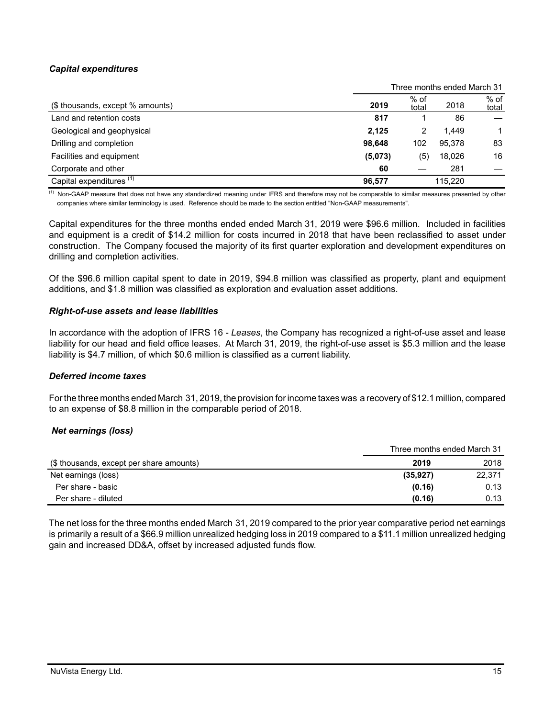# *Capital expenditures*

|                                     | Three months ended March 31 |                 |         |                 |
|-------------------------------------|-----------------------------|-----------------|---------|-----------------|
| (\$ thousands, except % amounts)    | 2019                        | $%$ of<br>total | 2018    | $%$ of<br>total |
| Land and retention costs            | 817                         |                 | 86      |                 |
| Geological and geophysical          | 2,125                       |                 | 1.449   |                 |
| Drilling and completion             | 98.648                      | 102             | 95.378  | 83              |
| Facilities and equipment            | (5,073)                     | (5)             | 18.026  | 16              |
| Corporate and other                 | 60                          |                 | 281     |                 |
| Capital expenditures <sup>(1)</sup> | 96.577                      |                 | 115.220 |                 |

 $\frac{(1)}{(1)}$  Non-GAAP measure that does not have any standardized meaning under IFRS and therefore may not be comparable to similar measures presented by other companies where similar terminology is used. Reference should be made to the section entitled "Non-GAAP measurements".

Capital expenditures for the three months ended ended March 31, 2019 were \$96.6 million. Included in facilities and equipment is a credit of \$14.2 million for costs incurred in 2018 that have been reclassified to asset under construction. The Company focused the majority of its first quarter exploration and development expenditures on drilling and completion activities.

Of the \$96.6 million capital spent to date in 2019, \$94.8 million was classified as property, plant and equipment additions, and \$1.8 million was classified as exploration and evaluation asset additions.

#### *Right-of-use assets and lease liabilities*

In accordance with the adoption of IFRS 16 - *Leases*, the Company has recognized a right-of-use asset and lease liability for our head and field office leases. At March 31, 2019, the right-of-use asset is \$5.3 million and the lease liability is \$4.7 million, of which \$0.6 million is classified as a current liability.

## *Deferred income taxes*

For the three months ended March 31, 2019, the provision for income taxes was a recovery of \$12.1 million, compared to an expense of \$8.8 million in the comparable period of 2018.

## *Net earnings (loss)*

|                                          | Three months ended March 31 |        |  |
|------------------------------------------|-----------------------------|--------|--|
| (\$ thousands, except per share amounts) | 2019                        | 2018   |  |
| Net earnings (loss)                      | (35, 927)                   | 22,371 |  |
| Per share - basic                        | (0.16)                      | 0.13   |  |
| Per share - diluted                      | (0.16)                      | 0.13   |  |

The net loss for the three months ended March 31, 2019 compared to the prior year comparative period net earnings is primarily a result of a \$66.9 million unrealized hedging loss in 2019 compared to a \$11.1 million unrealized hedging gain and increased DD&A, offset by increased adjusted funds flow.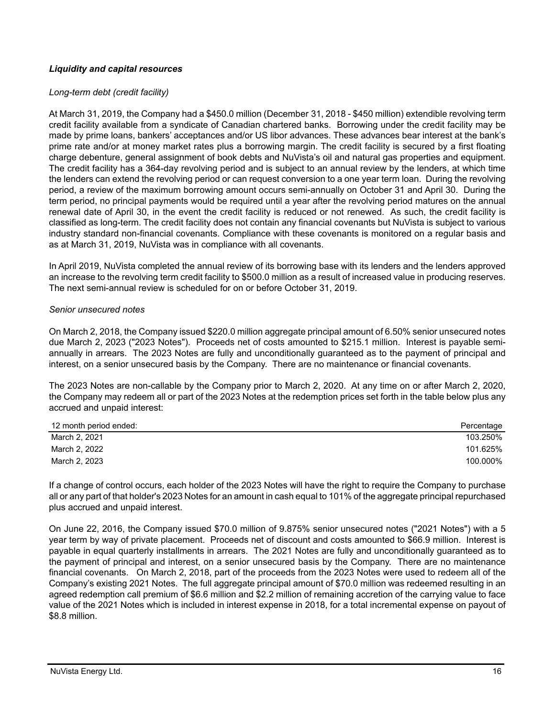# *Liquidity and capital resources*

### *Long-term debt (credit facility)*

At March 31, 2019, the Company had a \$450.0 million (December 31, 2018 - \$450 million) extendible revolving term credit facility available from a syndicate of Canadian chartered banks. Borrowing under the credit facility may be made by prime loans, bankers' acceptances and/or US libor advances. These advances bear interest at the bank's prime rate and/or at money market rates plus a borrowing margin. The credit facility is secured by a first floating charge debenture, general assignment of book debts and NuVista's oil and natural gas properties and equipment. The credit facility has a 364-day revolving period and is subject to an annual review by the lenders, at which time the lenders can extend the revolving period or can request conversion to a one year term loan. During the revolving period, a review of the maximum borrowing amount occurs semi-annually on October 31 and April 30. During the term period, no principal payments would be required until a year after the revolving period matures on the annual renewal date of April 30, in the event the credit facility is reduced or not renewed. As such, the credit facility is classified as long-term. The credit facility does not contain any financial covenants but NuVista is subject to various industry standard non-financial covenants. Compliance with these covenants is monitored on a regular basis and as at March 31, 2019, NuVista was in compliance with all covenants.

In April 2019, NuVista completed the annual review of its borrowing base with its lenders and the lenders approved an increase to the revolving term credit facility to \$500.0 million as a result of increased value in producing reserves. The next semi-annual review is scheduled for on or before October 31, 2019.

#### *Senior unsecured notes*

On March 2, 2018, the Company issued \$220.0 million aggregate principal amount of 6.50% senior unsecured notes due March 2, 2023 ("2023 Notes"). Proceeds net of costs amounted to \$215.1 million. Interest is payable semiannually in arrears. The 2023 Notes are fully and unconditionally guaranteed as to the payment of principal and interest, on a senior unsecured basis by the Company. There are no maintenance or financial covenants.

The 2023 Notes are non-callable by the Company prior to March 2, 2020. At any time on or after March 2, 2020, the Company may redeem all or part of the 2023 Notes at the redemption prices set forth in the table below plus any accrued and unpaid interest:

| 12 month period ended: | Percentage |
|------------------------|------------|
| March 2, 2021          | 103.250%   |
| March 2, 2022          | 101.625%   |
| March 2, 2023          | 100.000%   |

If a change of control occurs, each holder of the 2023 Notes will have the right to require the Company to purchase all or any part of that holder's 2023 Notes for an amount in cash equal to 101% of the aggregate principal repurchased plus accrued and unpaid interest.

On June 22, 2016, the Company issued \$70.0 million of 9.875% senior unsecured notes ("2021 Notes") with a 5 year term by way of private placement. Proceeds net of discount and costs amounted to \$66.9 million. Interest is payable in equal quarterly installments in arrears. The 2021 Notes are fully and unconditionally guaranteed as to the payment of principal and interest, on a senior unsecured basis by the Company. There are no maintenance financial covenants. On March 2, 2018, part of the proceeds from the 2023 Notes were used to redeem all of the Company's existing 2021 Notes. The full aggregate principal amount of \$70.0 million was redeemed resulting in an agreed redemption call premium of \$6.6 million and \$2.2 million of remaining accretion of the carrying value to face value of the 2021 Notes which is included in interest expense in 2018, for a total incremental expense on payout of \$8.8 million.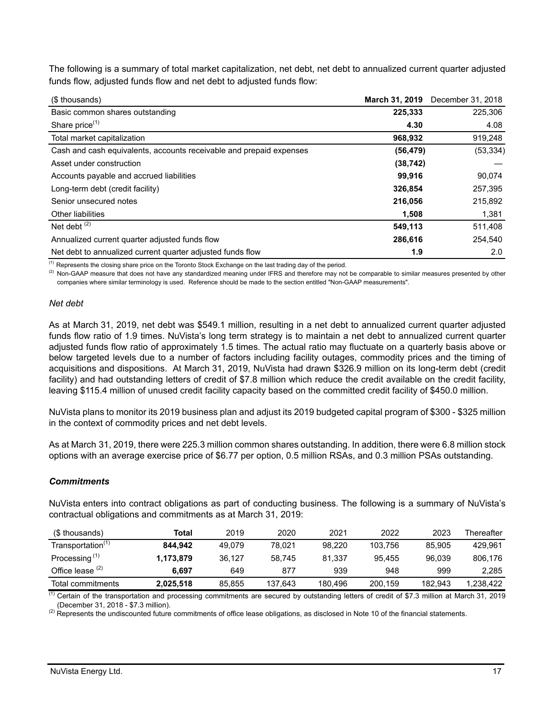The following is a summary of total market capitalization, net debt, net debt to annualized current quarter adjusted funds flow, adjusted funds flow and net debt to adjusted funds flow:

| (\$ thousands)                                                      | March 31, 2019 | December 31, 2018 |
|---------------------------------------------------------------------|----------------|-------------------|
| Basic common shares outstanding                                     | 225,333        | 225,306           |
| Share price <sup>(1)</sup>                                          | 4.30           | 4.08              |
| Total market capitalization                                         | 968,932        | 919,248           |
| Cash and cash equivalents, accounts receivable and prepaid expenses | (56, 479)      | (53, 334)         |
| Asset under construction                                            | (38, 742)      |                   |
| Accounts payable and accrued liabilities                            | 99.916         | 90,074            |
| Long-term debt (credit facility)                                    | 326,854        | 257,395           |
| Senior unsecured notes                                              | 216,056        | 215,892           |
| Other liabilities                                                   | 1,508          | 1,381             |
| Net debt $(2)$                                                      | 549,113        | 511,408           |
| Annualized current quarter adjusted funds flow                      | 286,616        | 254,540           |
| Net debt to annualized current quarter adjusted funds flow          | 1.9            | 2.0               |

<sup>(1)</sup> Represents the closing share price on the Toronto Stock Exchange on the last trading day of the period.

<sup>(2)</sup> Non-GAAP measure that does not have any standardized meaning under IFRS and therefore may not be comparable to similar measures presented by other companies where similar terminology is used. Reference should be made to the section entitled "Non-GAAP measurements".

#### *Net debt*

As at March 31, 2019, net debt was \$549.1 million, resulting in a net debt to annualized current quarter adjusted funds flow ratio of 1.9 times. NuVista's long term strategy is to maintain a net debt to annualized current quarter adjusted funds flow ratio of approximately 1.5 times. The actual ratio may fluctuate on a quarterly basis above or below targeted levels due to a number of factors including facility outages, commodity prices and the timing of acquisitions and dispositions. At March 31, 2019, NuVista had drawn \$326.9 million on its long-term debt (credit facility) and had outstanding letters of credit of \$7.8 million which reduce the credit available on the credit facility, leaving \$115.4 million of unused credit facility capacity based on the committed credit facility of \$450.0 million.

NuVista plans to monitor its 2019 business plan and adjust its 2019 budgeted capital program of \$300 - \$325 million in the context of commodity prices and net debt levels.

As at March 31, 2019, there were 225.3 million common shares outstanding. In addition, there were 6.8 million stock options with an average exercise price of \$6.77 per option, 0.5 million RSAs, and 0.3 million PSAs outstanding.

## *Commitments*

NuVista enters into contract obligations as part of conducting business. The following is a summary of NuVista's contractual obligations and commitments as at March 31, 2019:

| (\$ thousands)                | Total     | 2019   | 2020    | 2021    | 2022    | 2023    | Thereafter |
|-------------------------------|-----------|--------|---------|---------|---------|---------|------------|
| Transportation <sup>(1)</sup> | 844.942   | 49.079 | 78.021  | 98.220  | 103.756 | 85.905  | 429.961    |
| Processing <sup>(1)</sup>     | 1,173,879 | 36.127 | 58.745  | 81.337  | 95.455  | 96.039  | 806,176    |
| Office lease $(2)$            | 6.697     | 649    | 877     | 939     | 948     | 999     | 2.285      |
| Total commitments             | 2,025,518 | 85.855 | 137.643 | 180.496 | 200.159 | 182.943 | 1.238.422  |

 $<sup>(1)</sup>$  Certain of the transportation and processing commitments are secured by outstanding letters of credit of \$7.3 million at March 31, 2019</sup> (December 31, 2018 - \$7.3 million).

<sup>(2)</sup> Represents the undiscounted future commitments of office lease obligations, as disclosed in Note 10 of the financial statements.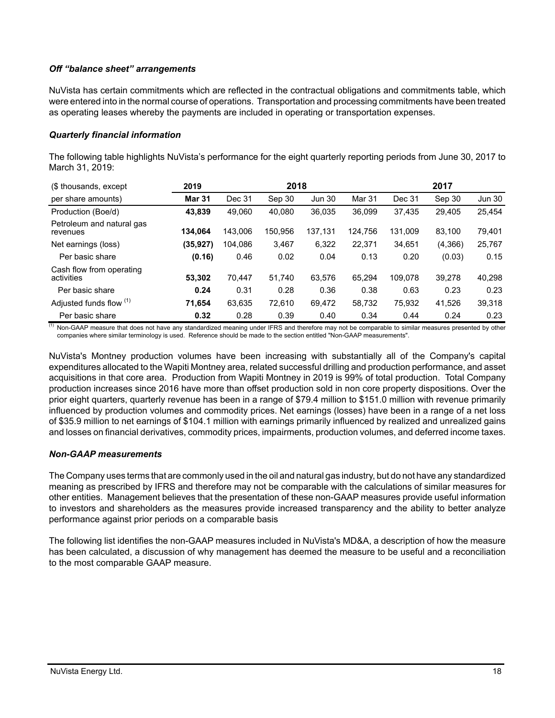# *Off "balance sheet" arrangements*

NuVista has certain commitments which are reflected in the contractual obligations and commitments table, which were entered into in the normal course of operations. Transportation and processing commitments have been treated as operating leases whereby the payments are included in operating or transportation expenses.

### *Quarterly financial information*

The following table highlights NuVista's performance for the eight quarterly reporting periods from June 30, 2017 to March 31, 2019:

| (\$ thousands, except                  | 2019          |         | 2018    |               |         |         | 2017    |               |
|----------------------------------------|---------------|---------|---------|---------------|---------|---------|---------|---------------|
| per share amounts)                     | <b>Mar 31</b> | Dec 31  | Sep 30  | <b>Jun 30</b> | Mar 31  | Dec 31  | Sep 30  | <b>Jun 30</b> |
| Production (Boe/d)                     | 43.839        | 49.060  | 40.080  | 36,035        | 36.099  | 37,435  | 29.405  | 25,454        |
| Petroleum and natural gas<br>revenues  | 134.064       | 143.006 | 150.956 | 137,131       | 124.756 | 131.009 | 83.100  | 79,401        |
| Net earnings (loss)                    | (35, 927)     | 104.086 | 3,467   | 6,322         | 22.371  | 34,651  | (4,366) | 25,767        |
| Per basic share                        | (0.16)        | 0.46    | 0.02    | 0.04          | 0.13    | 0.20    | (0.03)  | 0.15          |
| Cash flow from operating<br>activities | 53.302        | 70.447  | 51.740  | 63,576        | 65.294  | 109.078 | 39.278  | 40,298        |
| Per basic share                        | 0.24          | 0.31    | 0.28    | 0.36          | 0.38    | 0.63    | 0.23    | 0.23          |
| Adjusted funds flow (1)                | 71.654        | 63,635  | 72.610  | 69,472        | 58,732  | 75,932  | 41.526  | 39,318        |
| Per basic share                        | 0.32          | 0.28    | 0.39    | 0.40          | 0.34    | 0.44    | 0.24    | 0.23          |

(1) Non-GAAP measure that does not have any standardized meaning under IFRS and therefore may not be comparable to similar measures presented by other companies where similar terminology is used. Reference should be made to the section entitled "Non-GAAP measurements".

NuVista's Montney production volumes have been increasing with substantially all of the Company's capital expenditures allocated to the Wapiti Montney area, related successful drilling and production performance, and asset acquisitions in that core area. Production from Wapiti Montney in 2019 is 99% of total production. Total Company production increases since 2016 have more than offset production sold in non core property dispositions. Over the prior eight quarters, quarterly revenue has been in a range of \$79.4 million to \$151.0 million with revenue primarily influenced by production volumes and commodity prices. Net earnings (losses) have been in a range of a net loss of \$35.9 million to net earnings of \$104.1 million with earnings primarily influenced by realized and unrealized gains and losses on financial derivatives, commodity prices, impairments, production volumes, and deferred income taxes.

## *Non-GAAP measurements*

The Company uses terms that are commonly used in the oil and natural gas industry, but do not have any standardized meaning as prescribed by IFRS and therefore may not be comparable with the calculations of similar measures for other entities. Management believes that the presentation of these non-GAAP measures provide useful information to investors and shareholders as the measures provide increased transparency and the ability to better analyze performance against prior periods on a comparable basis

The following list identifies the non-GAAP measures included in NuVista's MD&A, a description of how the measure has been calculated, a discussion of why management has deemed the measure to be useful and a reconciliation to the most comparable GAAP measure.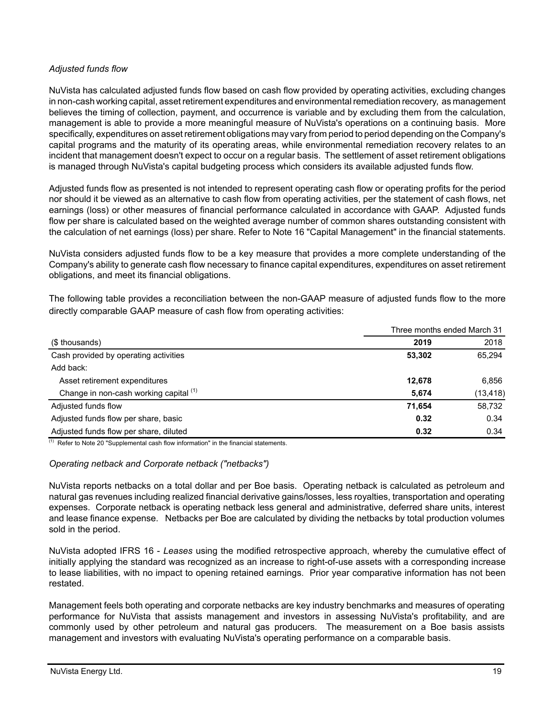# *Adjusted funds flow*

NuVista has calculated adjusted funds flow based on cash flow provided by operating activities, excluding changes in non-cash working capital, asset retirement expenditures and environmental remediation recovery, as management believes the timing of collection, payment, and occurrence is variable and by excluding them from the calculation, management is able to provide a more meaningful measure of NuVista's operations on a continuing basis. More specifically, expenditures on asset retirement obligations may vary from period to period depending on the Company's capital programs and the maturity of its operating areas, while environmental remediation recovery relates to an incident that management doesn't expect to occur on a regular basis. The settlement of asset retirement obligations is managed through NuVista's capital budgeting process which considers its available adjusted funds flow.

Adjusted funds flow as presented is not intended to represent operating cash flow or operating profits for the period nor should it be viewed as an alternative to cash flow from operating activities, per the statement of cash flows, net earnings (loss) or other measures of financial performance calculated in accordance with GAAP. Adjusted funds flow per share is calculated based on the weighted average number of common shares outstanding consistent with the calculation of net earnings (loss) per share. Refer to Note 16 "Capital Management" in the financial statements.

NuVista considers adjusted funds flow to be a key measure that provides a more complete understanding of the Company's ability to generate cash flow necessary to finance capital expenditures, expenditures on asset retirement obligations, and meet its financial obligations.

The following table provides a reconciliation between the non-GAAP measure of adjusted funds flow to the more directly comparable GAAP measure of cash flow from operating activities:

|                                        | Three months ended March 31 |           |
|----------------------------------------|-----------------------------|-----------|
| (\$ thousands)                         | 2019                        | 2018      |
| Cash provided by operating activities  | 53,302                      | 65,294    |
| Add back:                              |                             |           |
| Asset retirement expenditures          | 12,678                      | 6,856     |
| Change in non-cash working capital (1) | 5.674                       | (13, 418) |
| Adjusted funds flow                    | 71.654                      | 58,732    |
| Adjusted funds flow per share, basic   | 0.32                        | 0.34      |
| Adjusted funds flow per share, diluted | 0.32                        | 0.34      |

 $(1)$  Refer to Note 20 "Supplemental cash flow information" in the financial statements.

## *Operating netback and Corporate netback ("netbacks")*

NuVista reports netbacks on a total dollar and per Boe basis. Operating netback is calculated as petroleum and natural gas revenues including realized financial derivative gains/losses, less royalties, transportation and operating expenses. Corporate netback is operating netback less general and administrative, deferred share units, interest and lease finance expense. Netbacks per Boe are calculated by dividing the netbacks by total production volumes sold in the period.

NuVista adopted IFRS 16 - *Leases* using the modified retrospective approach, whereby the cumulative effect of initially applying the standard was recognized as an increase to right-of-use assets with a corresponding increase to lease liabilities, with no impact to opening retained earnings. Prior year comparative information has not been restated.

Management feels both operating and corporate netbacks are key industry benchmarks and measures of operating performance for NuVista that assists management and investors in assessing NuVista's profitability, and are commonly used by other petroleum and natural gas producers. The measurement on a Boe basis assists management and investors with evaluating NuVista's operating performance on a comparable basis.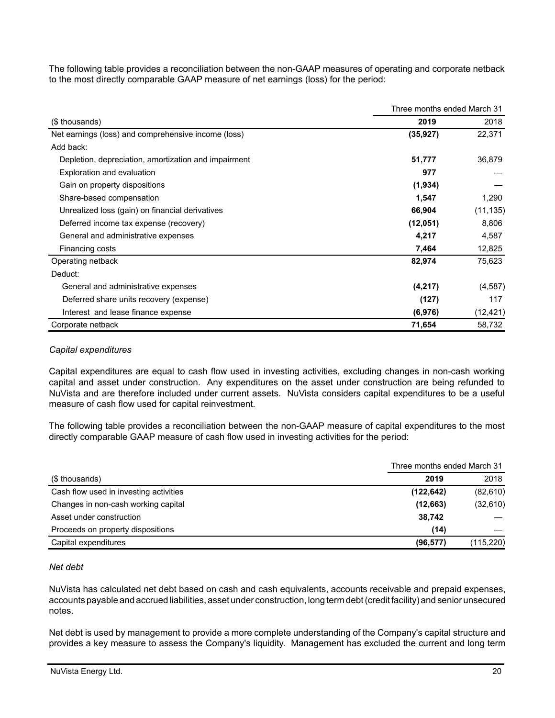The following table provides a reconciliation between the non-GAAP measures of operating and corporate netback to the most directly comparable GAAP measure of net earnings (loss) for the period:

|                                                      | Three months ended March 31 |           |
|------------------------------------------------------|-----------------------------|-----------|
| (\$ thousands)                                       | 2019                        | 2018      |
| Net earnings (loss) and comprehensive income (loss)  | (35, 927)                   | 22,371    |
| Add back:                                            |                             |           |
| Depletion, depreciation, amortization and impairment | 51,777                      | 36,879    |
| <b>Exploration and evaluation</b>                    | 977                         |           |
| Gain on property dispositions                        | (1,934)                     |           |
| Share-based compensation                             | 1,547                       | 1,290     |
| Unrealized loss (gain) on financial derivatives      | 66,904                      | (11, 135) |
| Deferred income tax expense (recovery)               | (12,051)                    | 8,806     |
| General and administrative expenses                  | 4,217                       | 4,587     |
| Financing costs                                      | 7,464                       | 12,825    |
| Operating netback                                    | 82,974                      | 75,623    |
| Deduct:                                              |                             |           |
| General and administrative expenses                  | (4,217)                     | (4,587)   |
| Deferred share units recovery (expense)              | (127)                       | 117       |
| Interest and lease finance expense                   | (6,976)                     | (12, 421) |
| Corporate netback                                    | 71,654                      | 58,732    |

# *Capital expenditures*

Capital expenditures are equal to cash flow used in investing activities, excluding changes in non-cash working capital and asset under construction. Any expenditures on the asset under construction are being refunded to NuVista and are therefore included under current assets. NuVista considers capital expenditures to be a useful measure of cash flow used for capital reinvestment.

The following table provides a reconciliation between the non-GAAP measure of capital expenditures to the most directly comparable GAAP measure of cash flow used in investing activities for the period:

|                                        |            | Three months ended March 31 |  |  |
|----------------------------------------|------------|-----------------------------|--|--|
| (\$ thousands)                         | 2019       | 2018                        |  |  |
| Cash flow used in investing activities | (122, 642) | (82, 610)                   |  |  |
| Changes in non-cash working capital    | (12,663)   | (32,610)                    |  |  |
| Asset under construction               | 38,742     |                             |  |  |
| Proceeds on property dispositions      | (14)       |                             |  |  |
| Capital expenditures                   | (96, 577)  | (115, 220)                  |  |  |

## *Net debt*

NuVista has calculated net debt based on cash and cash equivalents, accounts receivable and prepaid expenses, accounts payable and accrued liabilities, asset under construction, long term debt (credit facility) and senior unsecured notes.

Net debt is used by management to provide a more complete understanding of the Company's capital structure and provides a key measure to assess the Company's liquidity. Management has excluded the current and long term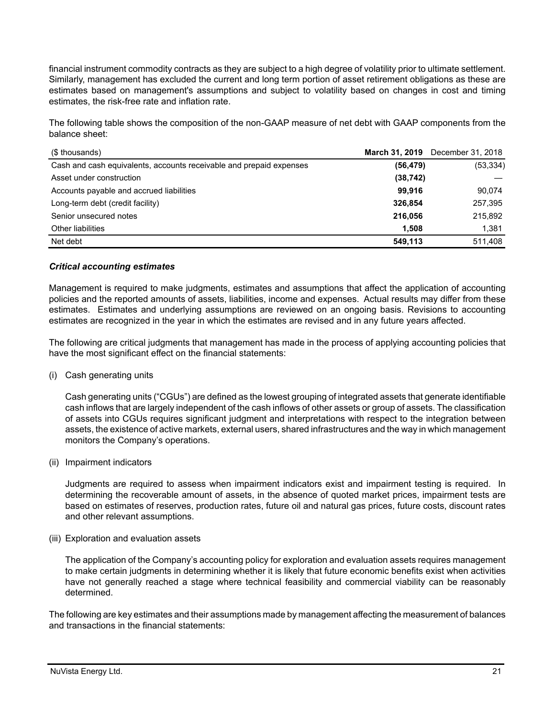financial instrument commodity contracts as they are subject to a high degree of volatility prior to ultimate settlement. Similarly, management has excluded the current and long term portion of asset retirement obligations as these are estimates based on management's assumptions and subject to volatility based on changes in cost and timing estimates, the risk-free rate and inflation rate.

The following table shows the composition of the non-GAAP measure of net debt with GAAP components from the balance sheet:

| (\$ thousands)                                                      |           | March 31, 2019 December 31, 2018 |
|---------------------------------------------------------------------|-----------|----------------------------------|
| Cash and cash equivalents, accounts receivable and prepaid expenses | (56, 479) | (53, 334)                        |
| Asset under construction                                            | (38, 742) |                                  |
| Accounts payable and accrued liabilities                            | 99.916    | 90,074                           |
| Long-term debt (credit facility)                                    | 326,854   | 257,395                          |
| Senior unsecured notes                                              | 216,056   | 215,892                          |
| Other liabilities                                                   | 1.508     | 1,381                            |
| Net debt                                                            | 549,113   | 511,408                          |

## *Critical accounting estimates*

Management is required to make judgments, estimates and assumptions that affect the application of accounting policies and the reported amounts of assets, liabilities, income and expenses. Actual results may differ from these estimates. Estimates and underlying assumptions are reviewed on an ongoing basis. Revisions to accounting estimates are recognized in the year in which the estimates are revised and in any future years affected.

The following are critical judgments that management has made in the process of applying accounting policies that have the most significant effect on the financial statements:

(i) Cash generating units

Cash generating units ("CGUs") are defined as the lowest grouping of integrated assets that generate identifiable cash inflows that are largely independent of the cash inflows of other assets or group of assets. The classification of assets into CGUs requires significant judgment and interpretations with respect to the integration between assets, the existence of active markets, external users, shared infrastructures and the way in which management monitors the Company's operations.

(ii) Impairment indicators

Judgments are required to assess when impairment indicators exist and impairment testing is required. In determining the recoverable amount of assets, in the absence of quoted market prices, impairment tests are based on estimates of reserves, production rates, future oil and natural gas prices, future costs, discount rates and other relevant assumptions.

(iii) Exploration and evaluation assets

The application of the Company's accounting policy for exploration and evaluation assets requires management to make certain judgments in determining whether it is likely that future economic benefits exist when activities have not generally reached a stage where technical feasibility and commercial viability can be reasonably determined.

The following are key estimates and their assumptions made by management affecting the measurement of balances and transactions in the financial statements: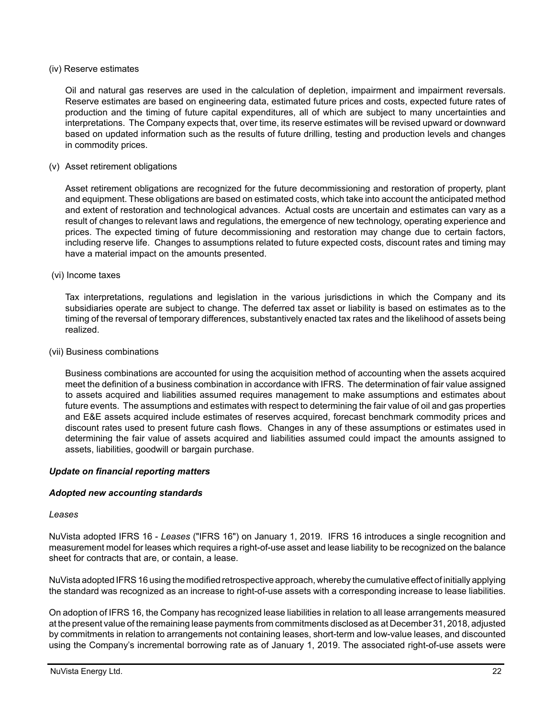#### (iv) Reserve estimates

Oil and natural gas reserves are used in the calculation of depletion, impairment and impairment reversals. Reserve estimates are based on engineering data, estimated future prices and costs, expected future rates of production and the timing of future capital expenditures, all of which are subject to many uncertainties and interpretations. The Company expects that, over time, its reserve estimates will be revised upward or downward based on updated information such as the results of future drilling, testing and production levels and changes in commodity prices.

### (v) Asset retirement obligations

Asset retirement obligations are recognized for the future decommissioning and restoration of property, plant and equipment. These obligations are based on estimated costs, which take into account the anticipated method and extent of restoration and technological advances. Actual costs are uncertain and estimates can vary as a result of changes to relevant laws and regulations, the emergence of new technology, operating experience and prices. The expected timing of future decommissioning and restoration may change due to certain factors, including reserve life. Changes to assumptions related to future expected costs, discount rates and timing may have a material impact on the amounts presented.

#### (vi) Income taxes

Tax interpretations, regulations and legislation in the various jurisdictions in which the Company and its subsidiaries operate are subject to change. The deferred tax asset or liability is based on estimates as to the timing of the reversal of temporary differences, substantively enacted tax rates and the likelihood of assets being realized.

#### (vii) Business combinations

Business combinations are accounted for using the acquisition method of accounting when the assets acquired meet the definition of a business combination in accordance with IFRS. The determination of fair value assigned to assets acquired and liabilities assumed requires management to make assumptions and estimates about future events. The assumptions and estimates with respect to determining the fair value of oil and gas properties and E&E assets acquired include estimates of reserves acquired, forecast benchmark commodity prices and discount rates used to present future cash flows. Changes in any of these assumptions or estimates used in determining the fair value of assets acquired and liabilities assumed could impact the amounts assigned to assets, liabilities, goodwill or bargain purchase.

## *Update on financial reporting matters*

## *Adopted new accounting standards*

#### *Leases*

NuVista adopted IFRS 16 - *Leases* ("IFRS 16") on January 1, 2019. IFRS 16 introduces a single recognition and measurement model for leases which requires a right-of-use asset and lease liability to be recognized on the balance sheet for contracts that are, or contain, a lease.

NuVista adopted IFRS 16 using the modified retrospective approach, whereby the cumulative effect of initially applying the standard was recognized as an increase to right-of-use assets with a corresponding increase to lease liabilities.

On adoption of IFRS 16, the Company has recognized lease liabilities in relation to all lease arrangements measured at the present value of the remaining lease payments from commitments disclosed as at December 31, 2018, adjusted by commitments in relation to arrangements not containing leases, short-term and low-value leases, and discounted using the Company's incremental borrowing rate as of January 1, 2019. The associated right-of-use assets were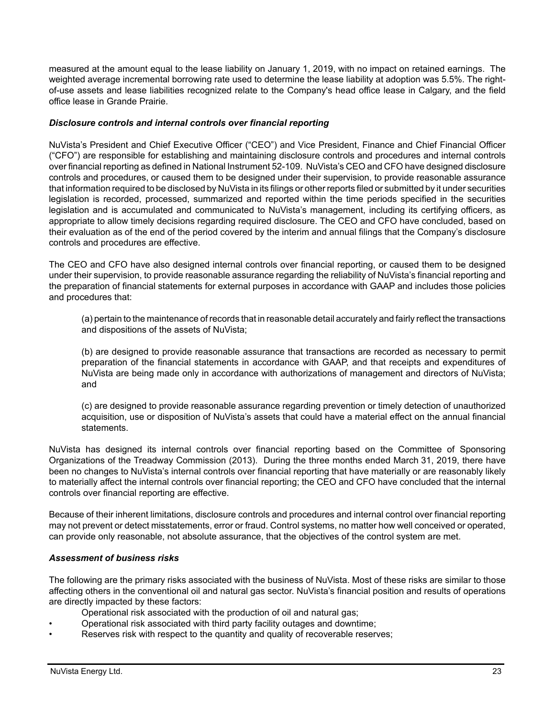measured at the amount equal to the lease liability on January 1, 2019, with no impact on retained earnings. The weighted average incremental borrowing rate used to determine the lease liability at adoption was 5.5%. The rightof-use assets and lease liabilities recognized relate to the Company's head office lease in Calgary, and the field office lease in Grande Prairie.

## *Disclosure controls and internal controls over financial reporting*

NuVista's President and Chief Executive Officer ("CEO") and Vice President, Finance and Chief Financial Officer ("CFO") are responsible for establishing and maintaining disclosure controls and procedures and internal controls over financial reporting as defined in National Instrument 52-109. NuVista's CEO and CFO have designed disclosure controls and procedures, or caused them to be designed under their supervision, to provide reasonable assurance that information required to be disclosed by NuVista in its filings or other reports filed or submitted by it under securities legislation is recorded, processed, summarized and reported within the time periods specified in the securities legislation and is accumulated and communicated to NuVista's management, including its certifying officers, as appropriate to allow timely decisions regarding required disclosure. The CEO and CFO have concluded, based on their evaluation as of the end of the period covered by the interim and annual filings that the Company's disclosure controls and procedures are effective.

The CEO and CFO have also designed internal controls over financial reporting, or caused them to be designed under their supervision, to provide reasonable assurance regarding the reliability of NuVista's financial reporting and the preparation of financial statements for external purposes in accordance with GAAP and includes those policies and procedures that:

(a) pertain to the maintenance of records that in reasonable detail accurately and fairly reflect the transactions and dispositions of the assets of NuVista;

(b) are designed to provide reasonable assurance that transactions are recorded as necessary to permit preparation of the financial statements in accordance with GAAP, and that receipts and expenditures of NuVista are being made only in accordance with authorizations of management and directors of NuVista; and

(c) are designed to provide reasonable assurance regarding prevention or timely detection of unauthorized acquisition, use or disposition of NuVista's assets that could have a material effect on the annual financial statements.

NuVista has designed its internal controls over financial reporting based on the Committee of Sponsoring Organizations of the Treadway Commission (2013). During the three months ended March 31, 2019, there have been no changes to NuVista's internal controls over financial reporting that have materially or are reasonably likely to materially affect the internal controls over financial reporting; the CEO and CFO have concluded that the internal controls over financial reporting are effective.

Because of their inherent limitations, disclosure controls and procedures and internal control over financial reporting may not prevent or detect misstatements, error or fraud. Control systems, no matter how well conceived or operated, can provide only reasonable, not absolute assurance, that the objectives of the control system are met.

#### *Assessment of business risks*

The following are the primary risks associated with the business of NuVista. Most of these risks are similar to those affecting others in the conventional oil and natural gas sector. NuVista's financial position and results of operations are directly impacted by these factors:

- Operational risk associated with the production of oil and natural gas;
- Operational risk associated with third party facility outages and downtime;
- Reserves risk with respect to the quantity and quality of recoverable reserves;